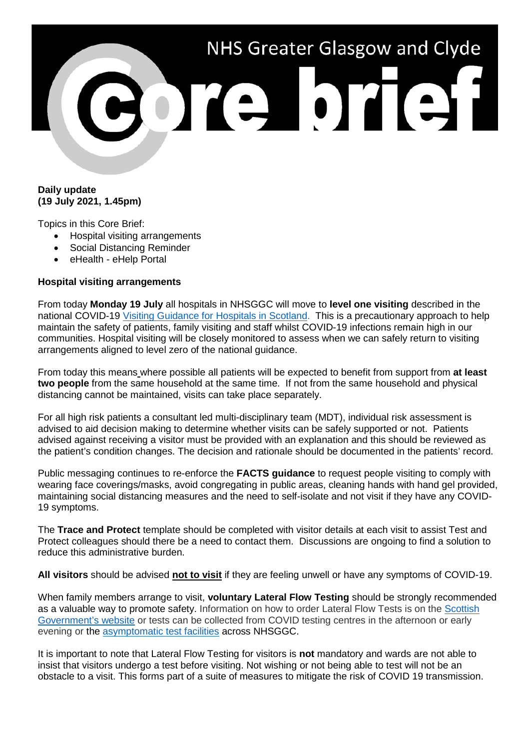# NHS Greater Glasgow and Clyde ore brief

# **Daily update (19 July 2021, 1.45pm)**

Topics in this Core Brief:

- Hospital visiting arrangements
- Social Distancing Reminder
- eHealth eHelp Portal

## **Hospital visiting arrangements**

From today **Monday 19 July** all hospitals in NHSGGC will move to **level one visiting** described in the national COVID-19 [Visiting Guidance for Hospitals in Scotland.](https://www.gov.scot/publications/coronavirus-covid-19-hospital-visiting-guidance/) This is a precautionary approach to help maintain the safety of patients, family visiting and staff whilst COVID-19 infections remain high in our communities. Hospital visiting will be closely monitored to assess when we can safely return to visiting arrangements aligned to level zero of the national guidance.

From today this means where possible all patients will be expected to benefit from support from **at least two people** from the same household at the same time. If not from the same household and physical distancing cannot be maintained, visits can take place separately.

For all high risk patients a consultant led multi-disciplinary team (MDT), individual risk assessment is advised to aid decision making to determine whether visits can be safely supported or not. Patients advised against receiving a visitor must be provided with an explanation and this should be reviewed as the patient's condition changes. The decision and rationale should be documented in the patients' record.

Public messaging continues to re-enforce the **FACTS guidance** to request people visiting to comply with wearing face coverings/masks, avoid congregating in public areas, cleaning hands with hand gel provided, maintaining social distancing measures and the need to self-isolate and not visit if they have any COVID-19 symptoms.

The **Trace and Protect** template should be completed with visitor details at each visit to assist Test and Protect colleagues should there be a need to contact them. Discussions are ongoing to find a solution to reduce this administrative burden.

**All visitors** should be advised **not to visit** if they are feeling unwell or have any symptoms of COVID-19.

When family members arrange to visit, **voluntary Lateral Flow Testing** should be strongly recommended as a valuable way to promote safety. Information on how to order Lateral Flow Tests is on the [Scottish](https://www.gov.scot/publications/coronavirus-covid-19-getting-tested/pages/no-covid-symptoms/)  [Government's website](https://www.gov.scot/publications/coronavirus-covid-19-getting-tested/pages/no-covid-symptoms/) or tests can be collected from COVID testing centres in the afternoon or early evening or the [asymptomatic test facilities](https://www.nhsggc.org.uk/your-health/health-issues/covid-19-coronavirus/for-patients-the-public/asymptomatic-test-facilities/) across NHSGGC.

It is important to note that Lateral Flow Testing for visitors is **not** mandatory and wards are not able to insist that visitors undergo a test before visiting. Not wishing or not being able to test will not be an obstacle to a visit. This forms part of a suite of measures to mitigate the risk of COVID 19 transmission.